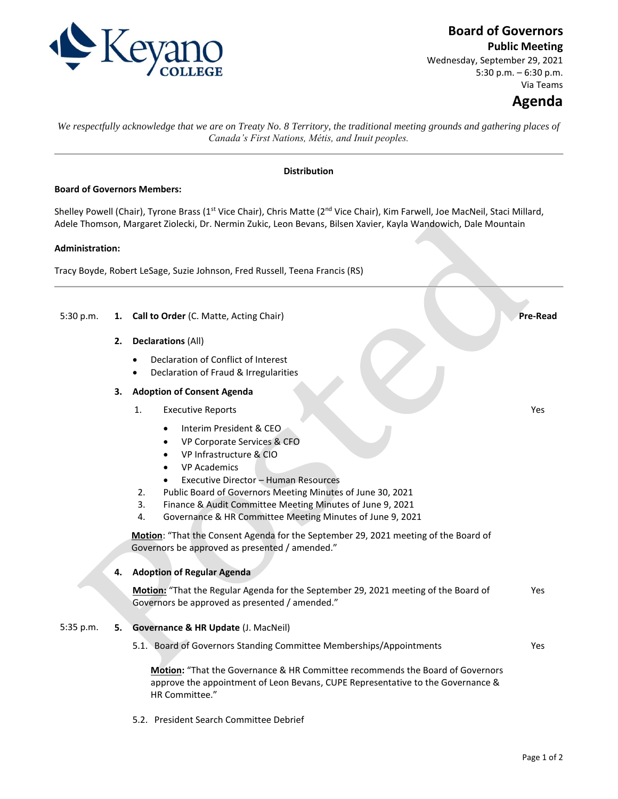

## **Board of Governors**

**Public Meeting**

Wednesday, September 29, 2021 5:30 p.m. – 6:30 p.m. Via Teams

# **Agenda**

Yes

*We respectfully acknowledge that we are on Treaty No. 8 Territory, the traditional meeting grounds and gathering places of Canada's First Nations, Métis, and Inuit peoples.*

## **Distribution**

## **Board of Governors Members:**

Shelley Powell (Chair), Tyrone Brass (1<sup>st</sup> Vice Chair), Chris Matte (2<sup>nd</sup> Vice Chair), Kim Farwell, Joe MacNeil, Staci Millard, Adele Thomson, Margaret Ziolecki, Dr. Nermin Zukic, Leon Bevans, Bilsen Xavier, Kayla Wandowich, Dale Mountain

## **Administration:**

Tracy Boyde, Robert LeSage, Suzie Johnson, Fred Russell, Teena Francis (RS)

5:30 p.m. **1. Call to Order** (C. Matte, Acting Chair) **Pre-Read**

- **2. Declarations** (All)
	- Declaration of Conflict of Interest
	- Declaration of Fraud & Irregularities

## **3. Adoption of Consent Agenda**

- 1. Executive Reports
	- Interim President & CEO
	- VP Corporate Services & CFO
	- VP Infrastructure & CIO
	- VP Academics
	- Executive Director Human Resources
- 2. Public Board of Governors Meeting Minutes of June 30, 2021
- 3. Finance & Audit Committee Meeting Minutes of June 9, 2021
- 4. Governance & HR Committee Meeting Minutes of June 9, 2021

**Motion**: "That the Consent Agenda for the September 29, 2021 meeting of the Board of Governors be approved as presented / amended."

#### **4. Adoption of Regular Agenda**

**Motion:** "That the Regular Agenda for the September 29, 2021 meeting of the Board of Governors be approved as presented / amended." Yes

#### 5:35 p.m. **5. Governance & HR Update** (J. MacNeil)

5.1. Board of Governors Standing Committee Memberships/Appointments Yes

**Motion:** "That the Governance & HR Committee recommends the Board of Governors approve the appointment of Leon Bevans, CUPE Representative to the Governance & HR Committee."

5.2. President Search Committee Debrief